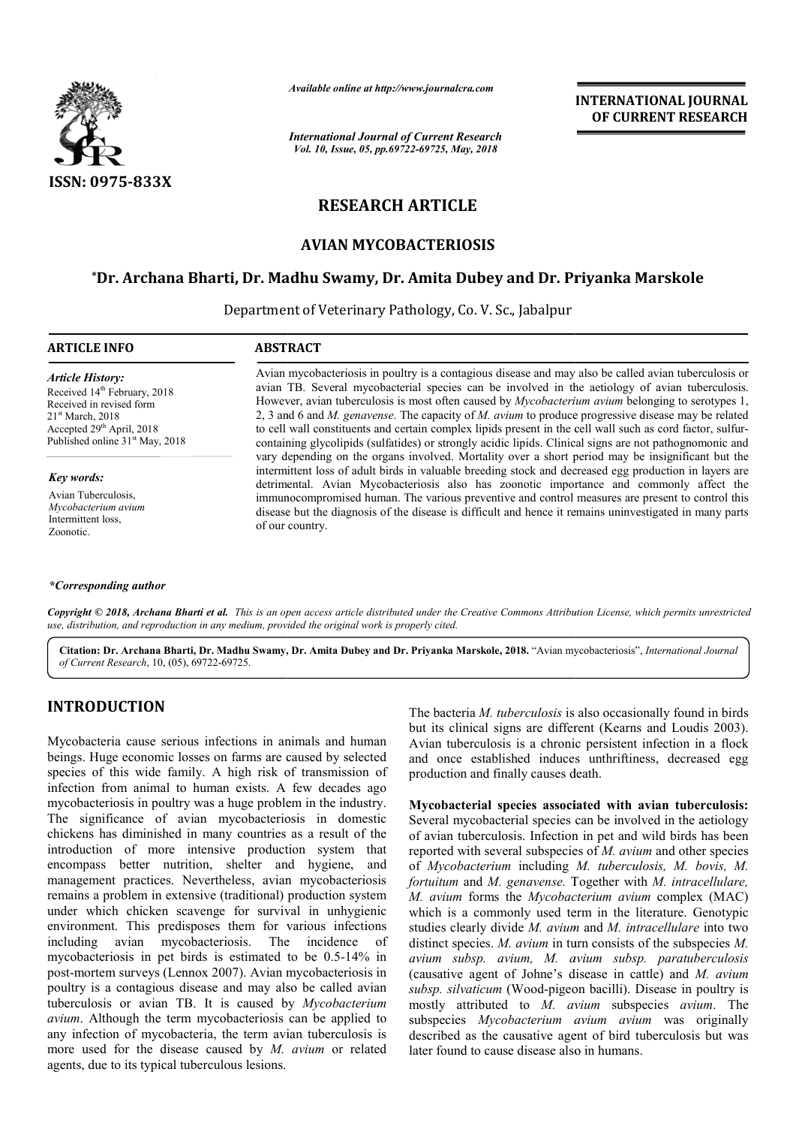

*Available online at http://www.journalcra.com*

*International Journal of Current Research Vol. 10, Issue, 05, pp.69722-69725, May, 2018*

# **INTERNATIONAL JOURNAL OF CURRENT RESEARCH**

# **RESEARCH ARTICLE**

## **AVIAN MYCOBACTERIOSIS**

### **\*Dr. Archana Bharti, Dr. Madhu Swamy, Dr. Amita Dubey and Dr. Priyanka Marskole Dr. Dr. Madhu and Dr. Marskole**

Department of Veterinary Pathology, Co. V. Sc., Jabalpur

### **ARTICLE INFO ABSTRACT**

*Article History:* Received 14<sup>th</sup> February, 2018 Received in revised form 21st March, 2018 Accepted 29<sup>th</sup> April, 2018 Published online 31<sup>st</sup> May, 2018

*Key words:*

Avian Tuberculosis, *Mycobacterium avium* Intermittent loss, Zoonotic.

#### *\*Corresponding author*

Avian mycobacteriosis in poultry is a contagious disease and may also be called avian tuberculosis or Avian mycobacteriosis in poultry is a contagious disease and may also be called avian tuberculosis or avian TB. Several mycobacterial species can be involved in the aetiology of avian tuberculosis. However, avian tuberculosis is most often caused by *Mycobacterium avium avium* belonging to serotypes 1, 2, 3 and 6 and *M. genavense*. The capacity of *M. avium* to produce progressive disease may be related 2, 3 and 6 and *M. genavense*. The capacity of *M. avium* to produce progressive disease may be related to cell wall constituents and certain complex lipids present in the cell wall such as cord factor, sulfurcontaining glycolipids (sulfatides) or strongly acidic lipids. Clinical signs are not pathognomonic and containing glycolipids (sulfatides) or strongly acidic lipids. Clinical signs are not pathognomonic and vary depending on the organs involved. Mortality over a short period may be insignificant but the intermittent loss of adult birds in valuable breeding stock and decreased egg production in layers are detrimental. Avian Mycobacteriosis also has zoonotic importance and commonly affect the immunocompromised human. The various preventive and control measures are present to control this disease but the diagnosis of the disease is difficult and hence it remains uninvestigated in many parts of our country. intermittent loss of adult birds in valuable breeding stock and decreased egg production in layers are detrimental. Avian Mycobacteriosis also has zoonotic importance and commonly affect the immunocompromised human. The va

Copyright © 2018, Archana Bharti et al. This is an open access article distributed under the Creative Commons Attribution License, which permits unrestrictea *use, distribution, and reproduction in any medium, provided the original work is properly cited.*

Citation: Dr. Archana Bharti, Dr. Madhu Swamy, Dr. Amita Dubey and Dr. Priyanka Marskole, 2018. "Avian mycobacteriosis", *International Journal of Current Research*, 10, (05), 69722-69725.

# **INTRODUCTION**

Mycobacteria cause serious infections in animals and human beings. Huge economic losses on farms are caused by selected species of this wide family. A high risk of transmission of infection from animal to human exists. A few decades ago mycobacteriosis in poultry was a huge problem in the industry. The significance of avian mycobacteriosis in domestic chickens has diminished in many countries as a result of the introduction of more intensive production system that encompass better nutrition, shelter and hygiene, and management practices. Nevertheless, avian mycobacteriosis remains a problem in extensive (traditional) production system under which chicken scavenge for survival in unhygienic environment. This predisposes them for various infections including avian mycobacteriosis. The incidence of mycobacteriosis in pet birds is estimated to be 0.5-14% in post-mortem surveys (Lennox 2007). Avian mycobacteriosis in poultry is a contagious disease and may also be called avian tuberculosis or avian TB. It is caused by *Mycobacterium*  avium. Although the term mycobacteriosis can be applied to any infection of mycobacteria, the term avian tuberculosis is more used for the disease caused by *M. avium* or related agents, due to its typical tuberculous lesions. significance of avian mycobacteriosis in domestic<br>tens has diminished in many countries as a result of the<br>duction of more intensive production system that<br>mpass better nutrition, shelter and hygiene, and<br>gement practices.

The bacteria *M. tuberculosis* is also occasionally found in birds but its clinical signs are different (Kearns and Loudis 2003). Avian tuberculosis is a chronic persistent infection in a flock The bacteria *M. tuberculosis* is also occasionally found in birds but its clinical signs are different (Kearns and Loudis 2003). Avian tuberculosis is a chronic persistent infection in a flock and once established induces production and finally causes death.

Mycobacterial species associated with avian tuberculosis: Several mycobacterial species can be involved in the aetiology of avian tuberculosis. Infection in pet and wild birds has been reported with several subspecies of  $M$ . avium and other species of *Mycobacterium* including *M. tuberculosis, M. bovis, M. fortuitum* and *M. genavense.* Together with *M. intracellulare, M. avium* forms the *Mycobacterium avium*  complex (MAC) which is a commonly used term in the literature. Genotypic studies clearly divide *M. avium* and *M. intracellulare* into two distinct species. *M. avium* in turn consists of the subspecies *M*. *avium subsp. avium, M. avium subsp. M. subsp. paratuberculosis* (causative agent of Johne's disease in cattle) and *M. avium*  subsp. silvaticum (Wood-pigeon bacilli). Disease in poultry is mostly attributed to *M. avium avium* subspecies *avium*. The subspecies *Mycobacterium avium avium avium avium* was originally described as the causative agent of bird tuberculosis but was later found to cause disease also in humans. bacterial species can be involved in the aetiology<br>culosis. Infection in pet and wild birds has been<br>several subspecies of *M. avium* and other species causative agent to cause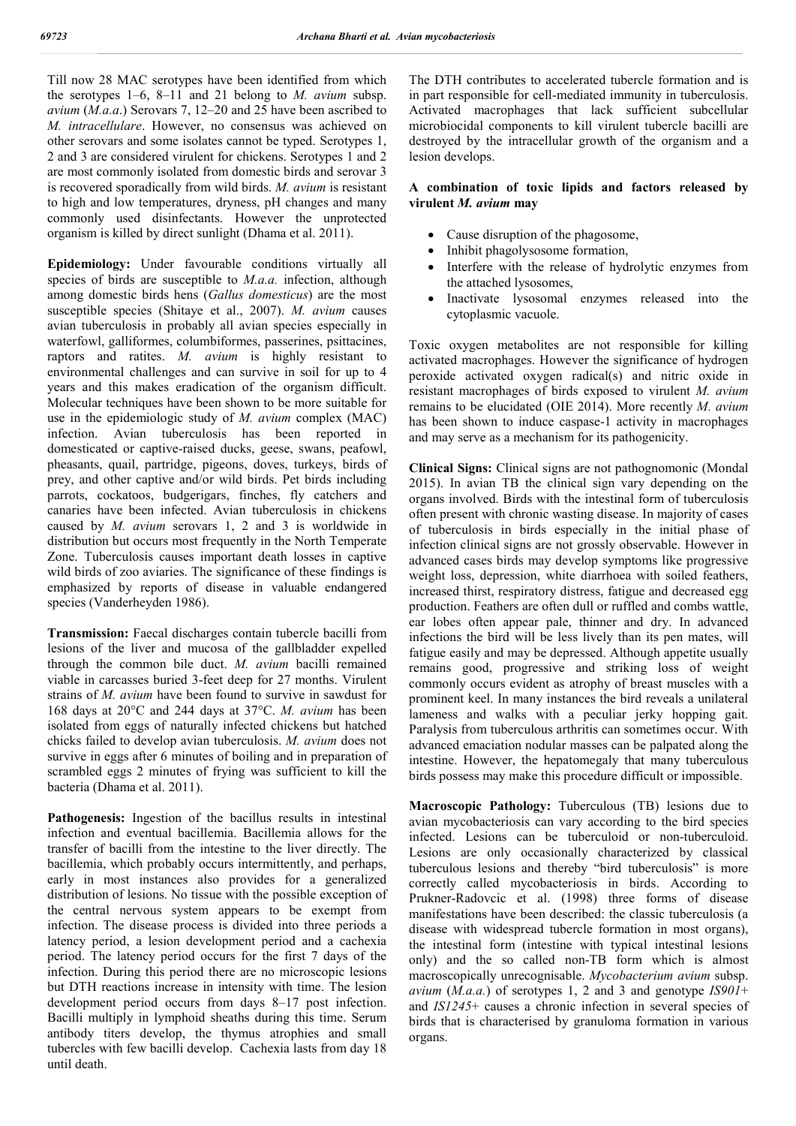Till now 28 MAC serotypes have been identified from which the serotypes 1–6, 8–11 and 21 belong to *M. avium* subsp. *avium* (*M.a.a*.) Serovars 7, 12–20 and 25 have been ascribed to *M. intracellulare*. However, no consensus was achieved on other serovars and some isolates cannot be typed. Serotypes 1, 2 and 3 are considered virulent for chickens. Serotypes 1 and 2 are most commonly isolated from domestic birds and serovar 3 is recovered sporadically from wild birds. *M. avium* is resistant to high and low temperatures, dryness, pH changes and many commonly used disinfectants. However the unprotected organism is killed by direct sunlight (Dhama et al. 2011).

**Epidemiology:** Under favourable conditions virtually all species of birds are susceptible to *M.a.a.* infection, although among domestic birds hens (*Gallus domesticus*) are the most susceptible species (Shitaye et al., 2007). *M. avium* causes avian tuberculosis in probably all avian species especially in waterfowl, galliformes, columbiformes, passerines, psittacines, raptors and ratites. *M. avium* is highly resistant to environmental challenges and can survive in soil for up to 4 years and this makes eradication of the organism difficult. Molecular techniques have been shown to be more suitable for use in the epidemiologic study of *M. avium* complex (MAC) infection. Avian tuberculosis has been reported in domesticated or captive-raised ducks, geese, swans, peafowl, pheasants, quail, partridge, pigeons, doves, turkeys, birds of prey, and other captive and/or wild birds. Pet birds including parrots, cockatoos, budgerigars, finches, fly catchers and canaries have been infected. Avian tuberculosis in chickens caused by *M. avium* serovars 1, 2 and 3 is worldwide in distribution but occurs most frequently in the North Temperate Zone. Tuberculosis causes important death losses in captive wild birds of zoo aviaries. The significance of these findings is emphasized by reports of disease in valuable endangered species (Vanderheyden 1986).

**Transmission:** Faecal discharges contain tubercle bacilli from lesions of the liver and mucosa of the gallbladder expelled through the common bile duct. *M. avium* bacilli remained viable in carcasses buried 3-feet deep for 27 months. Virulent strains of *M. avium* have been found to survive in sawdust for 168 days at 20°C and 244 days at 37°C. *M. avium* has been isolated from eggs of naturally infected chickens but hatched chicks failed to develop avian tuberculosis. *M. avium* does not survive in eggs after 6 minutes of boiling and in preparation of scrambled eggs 2 minutes of frying was sufficient to kill the bacteria (Dhama et al. 2011).

**Pathogenesis:** Ingestion of the bacillus results in intestinal infection and eventual bacillemia. Bacillemia allows for the transfer of bacilli from the intestine to the liver directly. The bacillemia, which probably occurs intermittently, and perhaps, early in most instances also provides for a generalized distribution of lesions. No tissue with the possible exception of the central nervous system appears to be exempt from infection. The disease process is divided into three periods a latency period, a lesion development period and a cachexia period. The latency period occurs for the first 7 days of the infection. During this period there are no microscopic lesions but DTH reactions increase in intensity with time. The lesion development period occurs from days 8–17 post infection. Bacilli multiply in lymphoid sheaths during this time. Serum antibody titers develop, the thymus atrophies and small tubercles with few bacilli develop. Cachexia lasts from day 18 until death.

The DTH contributes to accelerated tubercle formation and is in part responsible for cell-mediated immunity in tuberculosis. Activated macrophages that lack sufficient subcellular microbiocidal components to kill virulent tubercle bacilli are destroyed by the intracellular growth of the organism and a lesion develops.

### **A combination of toxic lipids and factors released by virulent** *M. avium* **may**

- Cause disruption of the phagosome,
- Inhibit phagolysosome formation,
- Interfere with the release of hydrolytic enzymes from the attached lysosomes,
- Inactivate lysosomal enzymes released into the cytoplasmic vacuole.

Toxic oxygen metabolites are not responsible for killing activated macrophages. However the significance of hydrogen peroxide activated oxygen radical(s) and nitric oxide in resistant macrophages of birds exposed to virulent *M. avium*  remains to be elucidated (OIE 2014). More recently *M. avium*  has been shown to induce caspase-1 activity in macrophages and may serve as a mechanism for its pathogenicity.

**Clinical Signs:** Clinical signs are not pathognomonic (Mondal 2015). In avian TB the clinical sign vary depending on the organs involved. Birds with the intestinal form of tuberculosis often present with chronic wasting disease. In majority of cases of tuberculosis in birds especially in the initial phase of infection clinical signs are not grossly observable. However in advanced cases birds may develop symptoms like progressive weight loss, depression, white diarrhoea with soiled feathers, increased thirst, respiratory distress, fatigue and decreased egg production. Feathers are often dull or ruffled and combs wattle, ear lobes often appear pale, thinner and dry. In advanced infections the bird will be less lively than its pen mates, will fatigue easily and may be depressed. Although appetite usually remains good, progressive and striking loss of weight commonly occurs evident as atrophy of breast muscles with a prominent keel. In many instances the bird reveals a unilateral lameness and walks with a peculiar jerky hopping gait. Paralysis from tuberculous arthritis can sometimes occur. With advanced emaciation nodular masses can be palpated along the intestine. However, the hepatomegaly that many tuberculous birds possess may make this procedure difficult or impossible.

**Macroscopic Pathology:** Tuberculous (TB) lesions due to avian mycobacteriosis can vary according to the bird species infected. Lesions can be tuberculoid or non-tuberculoid. Lesions are only occasionally characterized by classical tuberculous lesions and thereby "bird tuberculosis" is more correctly called mycobacteriosis in birds. According to Prukner-Radovcic et al. (1998) three forms of disease manifestations have been described: the classic tuberculosis (a disease with widespread tubercle formation in most organs), the intestinal form (intestine with typical intestinal lesions only) and the so called non-TB form which is almost macroscopically unrecognisable. *Mycobacterium avium* subsp. *avium* (*M.a.a.*) of serotypes 1, 2 and 3 and genotype *IS901*+ and *IS1245*+ causes a chronic infection in several species of birds that is characterised by granuloma formation in various organs.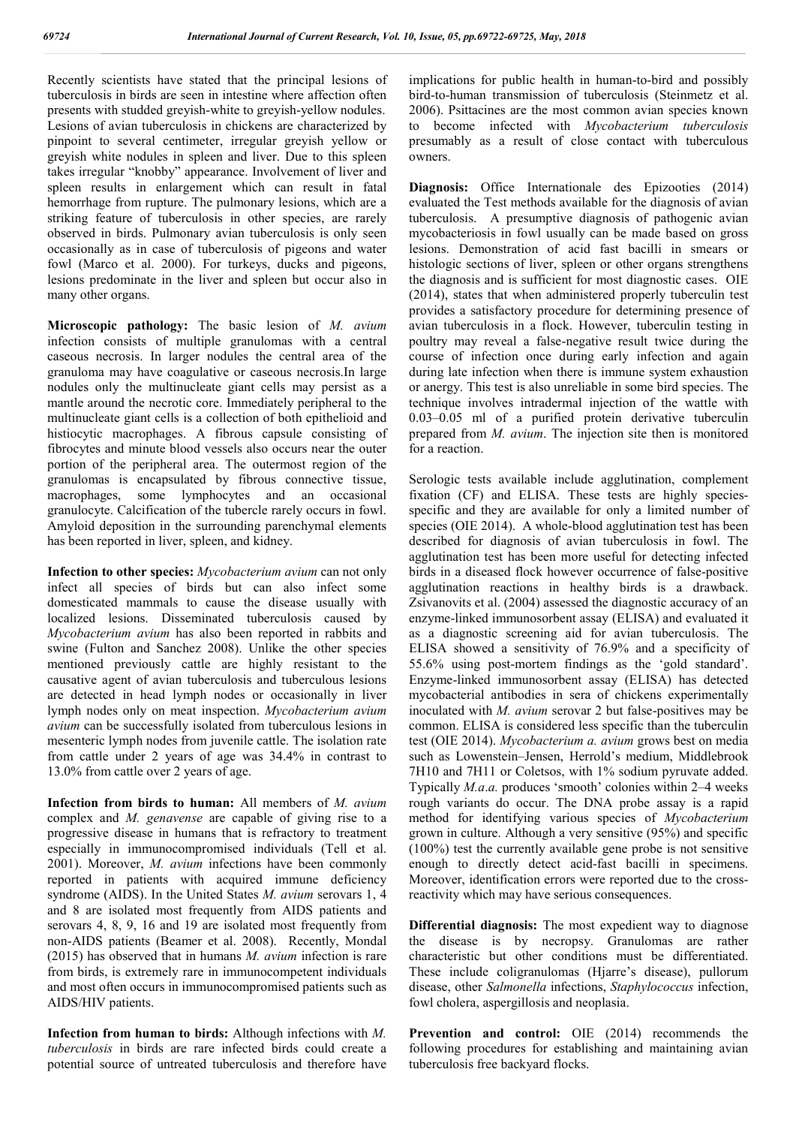Recently scientists have stated that the principal lesions of tuberculosis in birds are seen in intestine where affection often presents with studded greyish-white to greyish-yellow nodules. Lesions of avian tuberculosis in chickens are characterized by pinpoint to several centimeter, irregular greyish yellow or greyish white nodules in spleen and liver. Due to this spleen takes irregular "knobby" appearance. Involvement of liver and spleen results in enlargement which can result in fatal hemorrhage from rupture. The pulmonary lesions, which are a striking feature of tuberculosis in other species, are rarely observed in birds. Pulmonary avian tuberculosis is only seen occasionally as in case of tuberculosis of pigeons and water fowl (Marco et al. 2000). For turkeys, ducks and pigeons, lesions predominate in the liver and spleen but occur also in many other organs.

**Microscopic pathology:** The basic lesion of *M. avium*  infection consists of multiple granulomas with a central caseous necrosis. In larger nodules the central area of the granuloma may have coagulative or caseous necrosis.In large nodules only the multinucleate giant cells may persist as a mantle around the necrotic core. Immediately peripheral to the multinucleate giant cells is a collection of both epithelioid and histiocytic macrophages. A fibrous capsule consisting of fibrocytes and minute blood vessels also occurs near the outer portion of the peripheral area. The outermost region of the granulomas is encapsulated by fibrous connective tissue, macrophages, some lymphocytes and an occasional granulocyte. Calcification of the tubercle rarely occurs in fowl. Amyloid deposition in the surrounding parenchymal elements has been reported in liver, spleen, and kidney.

**Infection to other species:** *Mycobacterium avium* can not only infect all species of birds but can also infect some domesticated mammals to cause the disease usually with localized lesions. Disseminated tuberculosis caused by *Mycobacterium avium* has also been reported in rabbits and swine (Fulton and Sanchez 2008). Unlike the other species mentioned previously cattle are highly resistant to the causative agent of avian tuberculosis and tuberculous lesions are detected in head lymph nodes or occasionally in liver lymph nodes only on meat inspection. *Mycobacterium avium avium* can be successfully isolated from tuberculous lesions in mesenteric lymph nodes from juvenile cattle. The isolation rate from cattle under 2 years of age was 34.4% in contrast to 13.0% from cattle over 2 years of age.

**Infection from birds to human:** All members of *M. avium*  complex and *M. genavense* are capable of giving rise to a progressive disease in humans that is refractory to treatment especially in immunocompromised individuals (Tell et al. 2001). Moreover, *M. avium* infections have been commonly reported in patients with acquired immune deficiency syndrome (AIDS). In the United States *M. avium* serovars 1, 4 and 8 are isolated most frequently from AIDS patients and serovars 4, 8, 9, 16 and 19 are isolated most frequently from non-AIDS patients (Beamer et al. 2008). Recently, Mondal (2015) has observed that in humans *M. avium* infection is rare from birds, is extremely rare in immunocompetent individuals and most often occurs in immunocompromised patients such as AIDS/HIV patients.

**Infection from human to birds:** Although infections with *M. tuberculosis* in birds are rare infected birds could create a potential source of untreated tuberculosis and therefore have implications for public health in human-to-bird and possibly bird-to-human transmission of tuberculosis (Steinmetz et al. 2006). Psittacines are the most common avian species known to become infected with *Mycobacterium tuberculosis* presumably as a result of close contact with tuberculous owners.

**Diagnosis:** Office Internationale des Epizooties (2014) evaluated the Test methods available for the diagnosis of avian tuberculosis. A presumptive diagnosis of pathogenic avian mycobacteriosis in fowl usually can be made based on gross lesions. Demonstration of acid fast bacilli in smears or histologic sections of liver, spleen or other organs strengthens the diagnosis and is sufficient for most diagnostic cases. OIE (2014), states that when administered properly tuberculin test provides a satisfactory procedure for determining presence of avian tuberculosis in a flock. However, tuberculin testing in poultry may reveal a false-negative result twice during the course of infection once during early infection and again during late infection when there is immune system exhaustion or anergy. This test is also unreliable in some bird species. The technique involves intradermal injection of the wattle with 0.03–0.05 ml of a purified protein derivative tuberculin prepared from *M. avium*. The injection site then is monitored for a reaction.

Serologic tests available include agglutination, complement fixation (CF) and ELISA. These tests are highly speciesspecific and they are available for only a limited number of species (OIE 2014). A whole-blood agglutination test has been described for diagnosis of avian tuberculosis in fowl. The agglutination test has been more useful for detecting infected birds in a diseased flock however occurrence of false-positive agglutination reactions in healthy birds is a drawback. Zsivanovits et al. (2004) assessed the diagnostic accuracy of an enzyme-linked immunosorbent assay (ELISA) and evaluated it as a diagnostic screening aid for avian tuberculosis. The ELISA showed a sensitivity of 76.9% and a specificity of 55.6% using post-mortem findings as the 'gold standard'. Enzyme-linked immunosorbent assay (ELISA) has detected mycobacterial antibodies in sera of chickens experimentally inoculated with *M. avium* serovar 2 but false-positives may be common. ELISA is considered less specific than the tuberculin test (OIE 2014). *Mycobacterium a. avium* grows best on media such as Lowenstein–Jensen, Herrold's medium, Middlebrook 7H10 and 7H11 or Coletsos, with 1% sodium pyruvate added. Typically *M.a*.*a.* produces 'smooth' colonies within 2–4 weeks rough variants do occur. The DNA probe assay is a rapid method for identifying various species of *Mycobacterium*  grown in culture. Although a very sensitive (95%) and specific (100%) test the currently available gene probe is not sensitive enough to directly detect acid-fast bacilli in specimens. Moreover, identification errors were reported due to the crossreactivity which may have serious consequences.

**Differential diagnosis:** The most expedient way to diagnose the disease is by necropsy. Granulomas are rather characteristic but other conditions must be differentiated. These include coligranulomas (Hjarre's disease), pullorum disease, other *Salmonella* infections, *Staphylococcus* infection, fowl cholera, aspergillosis and neoplasia.

Prevention and control: OIE (2014) recommends the following procedures for establishing and maintaining avian tuberculosis free backyard flocks.